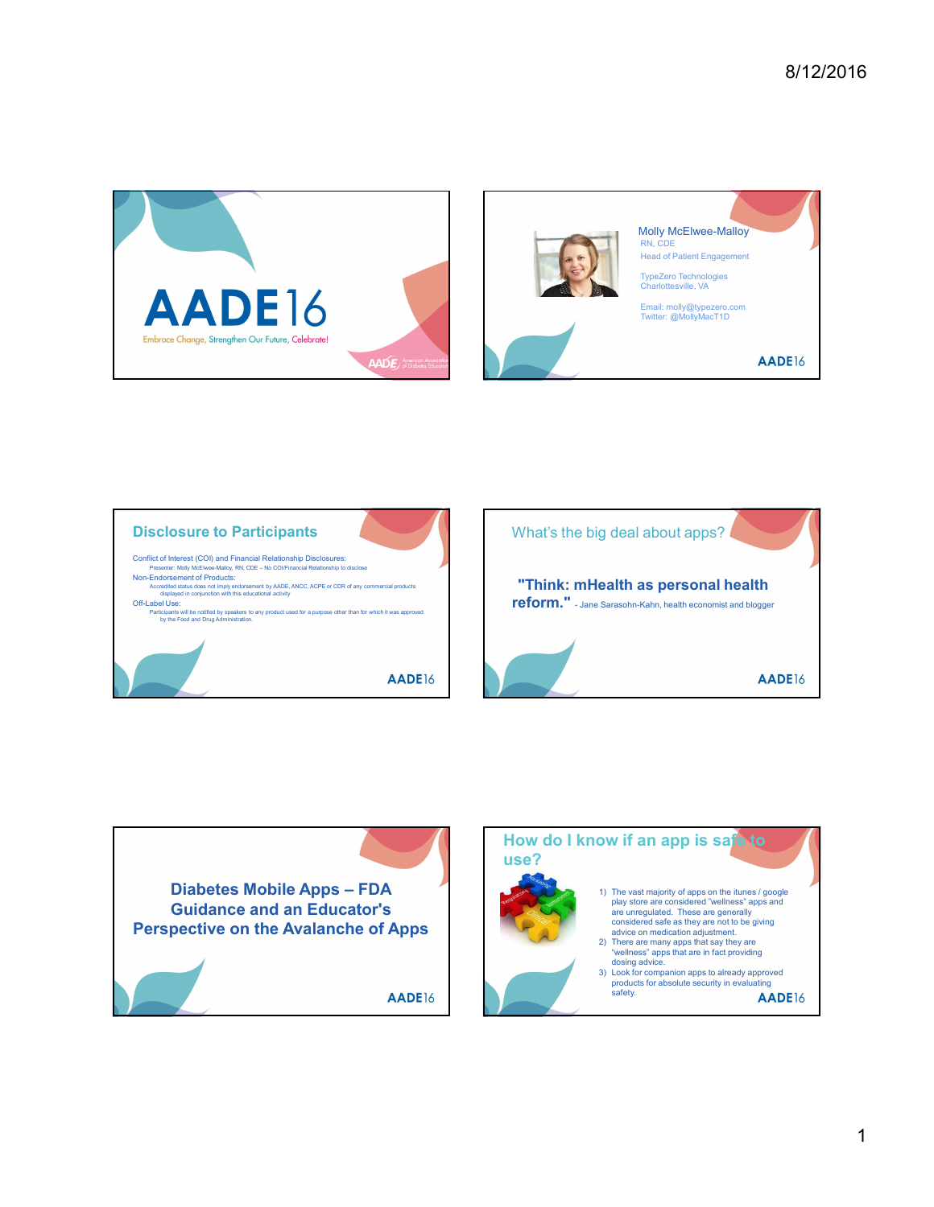